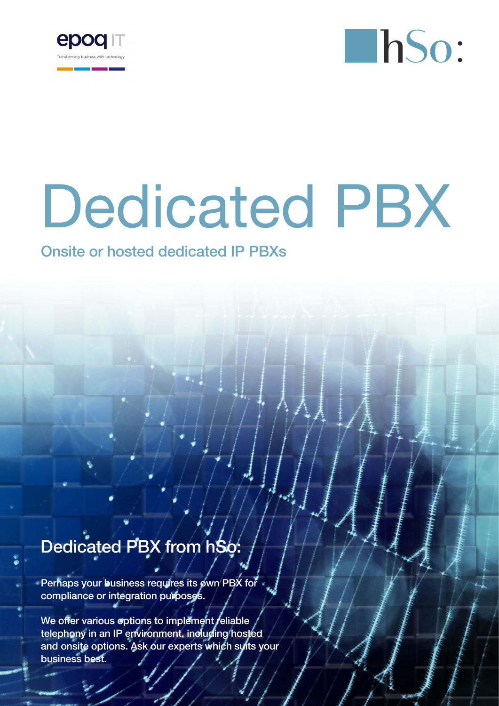



# Dedicated PBX

### Onsite or hosted dedicated IP PBXs

## Dedicated PBX from hSo:

Perhaps your business requires its own PBX for compliance or integration purposes.

We offer various options to implement reliable telephony in an IP environment, including hosted and onsite options. Ask our experts which suits your business best.